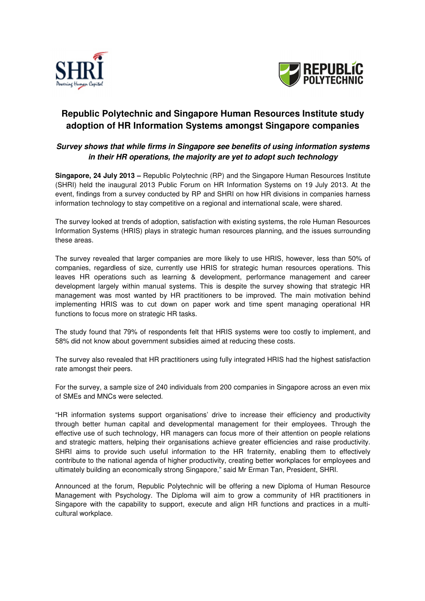



# **Republic Polytechnic and Singapore Human Resources Institute study adoption of HR Information Systems amongst Singapore companies**

## **Survey shows that while firms in Singapore see benefits of using information systems in their HR operations, the majority are yet to adopt such technology**

**Singapore, 24 July 2013 –** Republic Polytechnic (RP) and the Singapore Human Resources Institute (SHRI) held the inaugural 2013 Public Forum on HR Information Systems on 19 July 2013. At the event, findings from a survey conducted by RP and SHRI on how HR divisions in companies harness information technology to stay competitive on a regional and international scale, were shared.

The survey looked at trends of adoption, satisfaction with existing systems, the role Human Resources Information Systems (HRIS) plays in strategic human resources planning, and the issues surrounding these areas.

The survey revealed that larger companies are more likely to use HRIS, however, less than 50% of companies, regardless of size, currently use HRIS for strategic human resources operations. This leaves HR operations such as learning & development, performance management and career development largely within manual systems. This is despite the survey showing that strategic HR management was most wanted by HR practitioners to be improved. The main motivation behind implementing HRIS was to cut down on paper work and time spent managing operational HR functions to focus more on strategic HR tasks.

The study found that 79% of respondents felt that HRIS systems were too costly to implement, and 58% did not know about government subsidies aimed at reducing these costs.

The survey also revealed that HR practitioners using fully integrated HRIS had the highest satisfaction rate amongst their peers.

For the survey, a sample size of 240 individuals from 200 companies in Singapore across an even mix of SMEs and MNCs were selected.

"HR information systems support organisations' drive to increase their efficiency and productivity through better human capital and developmental management for their employees. Through the effective use of such technology, HR managers can focus more of their attention on people relations and strategic matters, helping their organisations achieve greater efficiencies and raise productivity. SHRI aims to provide such useful information to the HR fraternity, enabling them to effectively contribute to the national agenda of higher productivity, creating better workplaces for employees and ultimately building an economically strong Singapore," said Mr Erman Tan, President, SHRI.

Announced at the forum, Republic Polytechnic will be offering a new Diploma of Human Resource Management with Psychology. The Diploma will aim to grow a community of HR practitioners in Singapore with the capability to support, execute and align HR functions and practices in a multicultural workplace.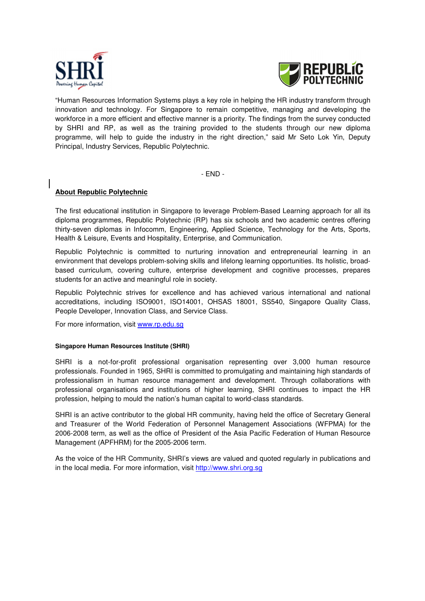



"Human Resources Information Systems plays a key role in helping the HR industry transform through innovation and technology. For Singapore to remain competitive, managing and developing the workforce in a more efficient and effective manner is a priority. The findings from the survey conducted by SHRI and RP, as well as the training provided to the students through our new diploma programme, will help to guide the industry in the right direction," said Mr Seto Lok Yin, Deputy Principal, Industry Services, Republic Polytechnic.

- END -

### **About Republic Polytechnic**

The first educational institution in Singapore to leverage Problem-Based Learning approach for all its diploma programmes, Republic Polytechnic (RP) has six schools and two academic centres offering thirty-seven diplomas in Infocomm, Engineering, Applied Science, Technology for the Arts, Sports, Health & Leisure, Events and Hospitality, Enterprise, and Communication.

Republic Polytechnic is committed to nurturing innovation and entrepreneurial learning in an environment that develops problem-solving skills and lifelong learning opportunities. Its holistic, broadbased curriculum, covering culture, enterprise development and cognitive processes, prepares students for an active and meaningful role in society.

Republic Polytechnic strives for excellence and has achieved various international and national accreditations, including ISO9001, ISO14001, OHSAS 18001, SS540, Singapore Quality Class, People Developer, Innovation Class, and Service Class.

For more information, visit www.rp.edu.sg

#### **Singapore Human Resources Institute (SHRI)**

SHRI is a not-for-profit professional organisation representing over 3,000 human resource professionals. Founded in 1965, SHRI is committed to promulgating and maintaining high standards of professionalism in human resource management and development. Through collaborations with professional organisations and institutions of higher learning, SHRI continues to impact the HR profession, helping to mould the nation's human capital to world-class standards.

SHRI is an active contributor to the global HR community, having held the office of Secretary General and Treasurer of the World Federation of Personnel Management Associations (WFPMA) for the 2006-2008 term, as well as the office of President of the Asia Pacific Federation of Human Resource Management (APFHRM) for the 2005-2006 term.

As the voice of the HR Community, SHRI's views are valued and quoted regularly in publications and in the local media. For more information, visit http://www.shri.org.sg